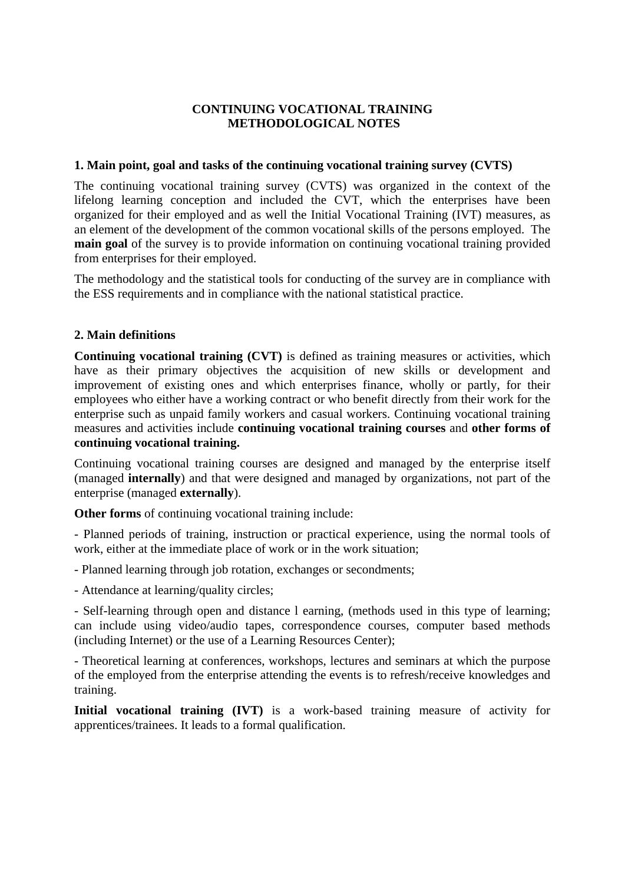## **CONTINUING VOCATIONAL TRAINING METHODOLOGICAL NOTES**

### **1. Main point, goal and tasks of the continuing vocational training survey (CVTS)**

The continuing vocational training survey (CVTS) was organized in the context of the lifelong learning conception and included the CVT, which the enterprises have been organized for their employed and as well the Initial Vocational Training (IVT) measures, as an element of the development of the common vocational skills of the persons employed. The **main goal** of the survey is to provide information on continuing vocational training provided from enterprises for their employed.

The methodology and the statistical tools for conducting of the survey are in compliance with the ESS requirements and in compliance with the national statistical practice.

### **2. Main definitions**

**Continuing vocational training (CVT)** is defined as training measures or activities, which have as their primary objectives the acquisition of new skills or development and improvement of existing ones and which enterprises finance, wholly or partly, for their employees who either have a working contract or who benefit directly from their work for the enterprise such as unpaid family workers and casual workers. Continuing vocational training measures and activities include **continuing vocational training courses** and **other forms of continuing vocational training.**

Continuing vocational training courses are designed and managed by the enterprise itself (managed **internally**) and that were designed and managed by organizations, not part of the enterprise (managed **externally**).

**Other forms** of continuing vocational training include:

- Planned periods of training, instruction or practical experience, using the normal tools of work, either at the immediate place of work or in the work situation;

- Planned learning through job rotation, exchanges or secondments;

- Attendance at learning/quality circles;

- Self-learning through open and distance l earning, (methods used in this type of learning; can include using video/audio tapes, correspondence courses, computer based methods (including Internet) or the use of a Learning Resources Center);

- Theoretical learning at conferences, workshops, lectures and seminars at which the purpose of the employed from the enterprise attending the events is to refresh/receive knowledges and training.

**Initial vocational training (IVT)** is a work-based training measure of activity for apprentices/trainees. It leads to a formal qualification.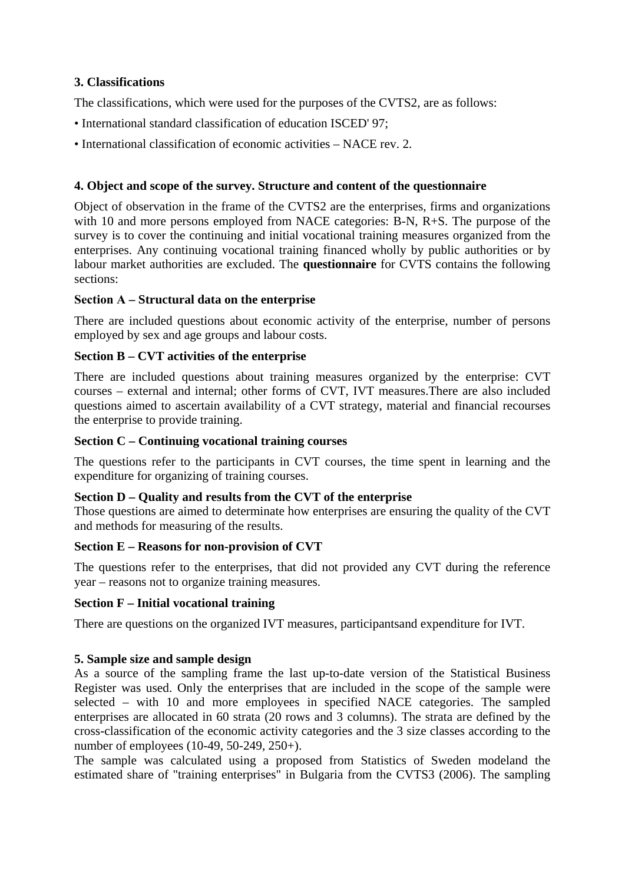# **3. Classifications**

The classifications, which were used for the purposes of the CVTS2, are as follows:

- International standard classification of education ISCED' 97;
- International classification of economic activities NACE rev. 2.

## **4. Object and scope of the survey. Structure and content of the questionnaire**

Object of observation in the frame of the CVTS2 are the enterprises, firms and organizations with 10 and more persons employed from NACE categories: B-N, R+S. The purpose of the survey is to cover the continuing and initial vocational training measures organized from the enterprises. Any continuing vocational training financed wholly by public authorities or by labour market authorities are excluded. The **questionnaire** for CVTS contains the following sections:

### **Section А – Structural data on the enterprise**

There are included questions about economic activity of the enterprise, number of persons employed by sex and age groups and labour costs.

### **Section B – CVT activities of the enterprise**

There are included questions about training measures organized by the enterprise: CVT courses – external and internal; other forms of CVT, IVT measures.There are also included questions aimed to ascertain availability of a CVT strategy, material and financial recourses the enterprise to provide training.

### **Section C – Continuing vocational training courses**

The questions refer to the participants in CVT courses, the time spent in learning and the expenditure for organizing of training courses.

### **Section D – Quality and results from the CVT of the enterprise**

Those questions are aimed to determinate how enterprises are ensuring the quality of the CVT and methods for measuring of the results.

### **Section E – Reasons for non-provision of CVT**

The questions refer to the enterprises, that did not provided any CVT during the reference year – reasons not to organize training measures.

### **Section F – Initial vocational training**

There are questions on the organized IVT measures, participantsand expenditure for IVT.

# **5. Sample size and sample design**

As a source of the sampling frame the last up-to-date version of the Statistical Business Register was used. Only the enterprises that are included in the scope of the sample were selected – with 10 and more employees in specified NACE categories. The sampled enterprises are allocated in 60 strata (20 rows and 3 columns). The strata are defined by the cross-classification of the economic activity categories and the 3 size classes according to the number of employees (10-49, 50-249, 250+).

The sample was calculated using a proposed from Statistics of Sweden modeland the estimated share of "training enterprises" in Bulgaria from the CVTS3 (2006). The sampling